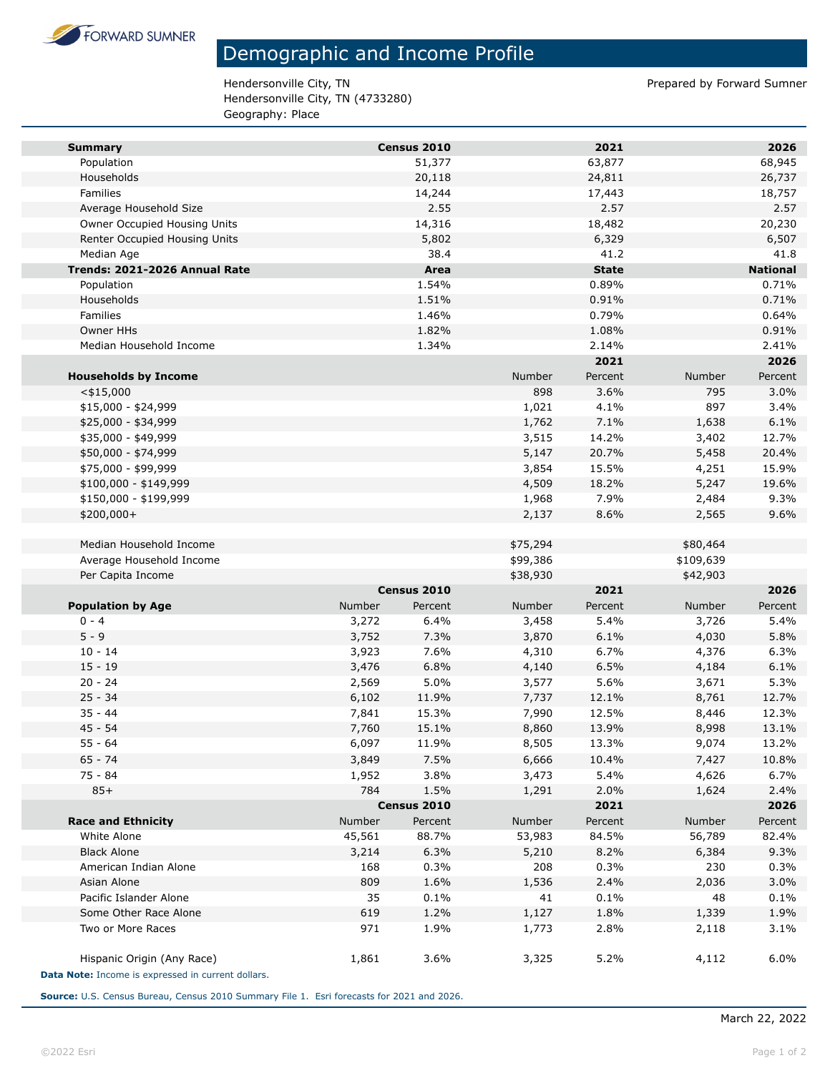

## Demographic and Income Profile

Hendersonville City, TN endersonville City, TN Hendersonville City, TN (4733280) Geography: Place

| <b>Summary</b>                                     |               | Census 2010            |          | 2021            |           | 2026            |
|----------------------------------------------------|---------------|------------------------|----------|-----------------|-----------|-----------------|
| Population                                         |               | 51,377                 |          | 63,877          |           | 68,945          |
| Households                                         |               | 20,118                 |          | 24,811          |           | 26,737          |
| Families                                           |               | 14,244                 |          | 17,443          |           | 18,757          |
| Average Household Size                             |               | 2.55                   |          | 2.57            |           | 2.57            |
| Owner Occupied Housing Units                       |               | 14,316                 |          | 18,482          |           | 20,230          |
| Renter Occupied Housing Units                      |               | 5,802                  |          | 6,329           |           | 6,507           |
| Median Age                                         |               | 38.4                   |          | 41.2            |           | 41.8            |
| Trends: 2021-2026 Annual Rate                      |               | Area                   |          | <b>State</b>    |           | <b>National</b> |
| Population                                         |               | 1.54%                  |          | 0.89%           |           | 0.71%           |
| Households                                         |               | 1.51%                  |          | 0.91%           |           | 0.71%           |
| Families                                           |               | 1.46%                  |          | 0.79%           |           | 0.64%           |
| <b>Owner HHs</b>                                   |               | 1.82%                  |          | 1.08%           |           | 0.91%           |
| Median Household Income                            |               | 1.34%                  |          | 2.14%           |           | 2.41%           |
|                                                    |               |                        |          | 2021            |           | 2026            |
| <b>Households by Income</b>                        |               |                        | Number   | Percent         | Number    | Percent         |
| $<$ \$15,000                                       |               |                        | 898      | 3.6%            | 795       | 3.0%            |
| $$15,000 - $24,999$                                |               |                        | 1,021    | 4.1%            | 897       | 3.4%            |
| \$25,000 - \$34,999                                |               |                        | 1,762    | 7.1%            | 1,638     | 6.1%            |
| \$35,000 - \$49,999                                |               |                        | 3,515    | 14.2%           | 3,402     | 12.7%           |
| \$50,000 - \$74,999                                |               |                        | 5,147    | 20.7%           | 5,458     | 20.4%           |
| \$75,000 - \$99,999                                |               |                        | 3,854    | 15.5%           | 4,251     | 15.9%           |
| \$100,000 - \$149,999                              |               |                        | 4,509    | 18.2%           | 5,247     | 19.6%           |
| \$150,000 - \$199,999                              |               |                        | 1,968    | 7.9%            | 2,484     | 9.3%            |
| \$200,000+                                         |               |                        | 2,137    | 8.6%            | 2,565     | 9.6%            |
|                                                    |               |                        |          |                 |           |                 |
| Median Household Income                            |               |                        | \$75,294 |                 | \$80,464  |                 |
| Average Household Income                           |               |                        | \$99,386 |                 | \$109,639 |                 |
| Per Capita Income                                  |               |                        | \$38,930 |                 | \$42,903  |                 |
|                                                    | Number        | Census 2010<br>Percent | Number   | 2021<br>Percent | Number    | 2026<br>Percent |
| <b>Population by Age</b><br>$0 - 4$                | 3,272         | 6.4%                   | 3,458    | 5.4%            | 3,726     | 5.4%            |
| $5 - 9$                                            | 3,752         | 7.3%                   | 3,870    | 6.1%            | 4,030     | 5.8%            |
| $10 - 14$                                          | 3,923         | 7.6%                   | 4,310    | 6.7%            | 4,376     | 6.3%            |
| $15 - 19$                                          | 3,476         | 6.8%                   | 4,140    | 6.5%            | 4,184     | 6.1%            |
| $20 - 24$                                          | 2,569         | 5.0%                   | 3,577    | 5.6%            | 3,671     | 5.3%            |
| $25 - 34$                                          | 6,102         | 11.9%                  | 7,737    | 12.1%           | 8,761     | 12.7%           |
| $35 - 44$                                          | 7,841         | 15.3%                  | 7,990    | 12.5%           | 8,446     | 12.3%           |
| 45 - 54                                            | 7,760         | 15.1%                  | 8,860    | 13.9%           | 8,998     | 13.1%           |
| $55 - 64$                                          | 6,097         | 11.9%                  | 8,505    | 13.3%           | 9,074     | 13.2%           |
| $65 - 74$                                          | 3,849         | 7.5%                   | 6,666    | 10.4%           | 7,427     | 10.8%           |
| 75 - 84                                            | 1,952         | 3.8%                   | 3,473    | 5.4%            | 4,626     | 6.7%            |
| $85+$                                              | 784           | 1.5%                   | 1,291    | 2.0%            | 1,624     | 2.4%            |
|                                                    |               | Census 2010            |          | 2021            |           | 2026            |
| <b>Race and Ethnicity</b>                          | <b>Number</b> | Percent                | Number   | Percent         | Number    | Percent         |
| White Alone                                        | 45,561        | 88.7%                  | 53,983   | 84.5%           | 56,789    | 82.4%           |
| <b>Black Alone</b>                                 | 3,214         | 6.3%                   | 5,210    | 8.2%            | 6,384     | 9.3%            |
| American Indian Alone                              | 168           | 0.3%                   | 208      | 0.3%            | 230       | 0.3%            |
| Asian Alone                                        | 809           | 1.6%                   | 1,536    | 2.4%            | 2,036     | 3.0%            |
| Pacific Islander Alone                             | 35            | 0.1%                   | 41       | 0.1%            | 48        | 0.1%            |
| Some Other Race Alone                              | 619           | 1.2%                   | 1,127    | 1.8%            | 1,339     | 1.9%            |
| Two or More Races                                  | 971           | 1.9%                   | 1,773    | 2.8%            | 2,118     | 3.1%            |
|                                                    |               |                        |          |                 |           |                 |
| Hispanic Origin (Any Race)                         | 1,861         | 3.6%                   | 3,325    | 5.2%            | 4,112     | 6.0%            |
| Data Note: Income is expressed in current dollars. |               |                        |          |                 |           |                 |

**Source:** U.S. Census Bureau, Census 2010 Summary File 1. Esri forecasts for 2021 and 2026.